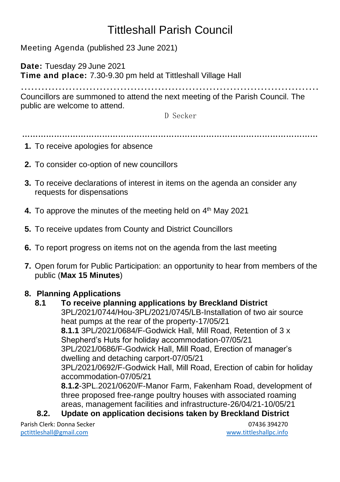# Tittleshall Parish Council

Meeting Agenda (published 23 June 2021)

**Date:** Tuesday 29 June 2021 **Time and place:** 7.30-9.30 pm held at Tittleshall Village Hall

…………………………………………………………………………… Councillors are summoned to attend the next meeting of the Parish Council. The public are welcome to attend.

D Secker

…………………………………………………………………………………………………

- **1.** To receive apologies for absence
- **2.** To consider co-option of new councillors
- **3.** To receive declarations of interest in items on the agenda an consider any requests for dispensations
- **4.** To approve the minutes of the meeting held on 4<sup>th</sup> May 2021
- **5.** To receive updates from County and District Councillors
- **6.** To report progress on items not on the agenda from the last meeting
- **7.** Open forum for Public Participation: an opportunity to hear from members of the public (**Max 15 Minutes**)

#### **8. Planning Applications**

#### **8.1 To receive planning applications by Breckland District** 3PL/2021/0744/Hou-3PL/2021/0745/LB-Installation of two air source heat pumps at the rear of the property-17/05/21 **8.1.1** 3PL/2021/0684/F-Godwick Hall, Mill Road, Retention of 3 x Shepherd's Huts for holiday accommodation-07/05/21 3PL/2021/0686/F-Godwick Hall, Mill Road, Erection of manager's dwelling and detaching carport-07/05/21 3PL/2021/0692/F-Godwick Hall, Mill Road, Erection of cabin for holiday accommodation-07/05/21 **8.1.2**-3PL.2021/0620/F-Manor Farm, Fakenham Road, development of three proposed free-range poultry houses with associated roaming areas, management facilities and infrastructure-26/04/21-10/05/21 **8.2. Update on application decisions taken by Breckland District**

Parish Clerk: Donna Secker 07436 394270 [pctittleshall@gmail.com](mailto:pctittleshall@gmail.com) [www.tittleshallpc.info](http://www.tittleshallpc.info/)